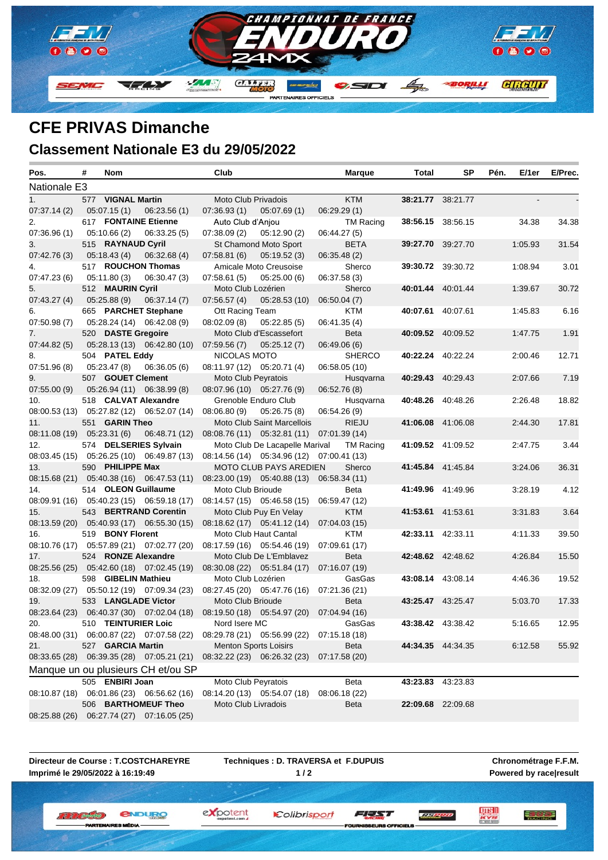

## **CFE PRIVAS Dimanche**

## **Classement Nationale E3 du 29/05/2022** Î.

| Pos.                                    | # | Nom                 |                                           | Club                |                                           | <b>Marque</b>    | Total    | SP                       | Pén. | E/1er   | E/Prec. |
|-----------------------------------------|---|---------------------|-------------------------------------------|---------------------|-------------------------------------------|------------------|----------|--------------------------|------|---------|---------|
| Nationale E3                            |   |                     |                                           |                     |                                           |                  |          |                          |      |         |         |
| 1.                                      |   | 577 VIGNAL Martin   |                                           | Moto Club Privadois |                                           | <b>KTM</b>       |          | 38:21.77 38:21.77        |      |         |         |
| 07:37.14 (2)                            |   |                     | $05:07.15(1)$ $06:23.56(1)$               | 07:36.93(1)         | 05:07.69(1)                               | 06:29.29(1)      |          |                          |      |         |         |
| 2.                                      |   |                     | 617 FONTAINE Etienne                      | Auto Club d'Aniou   |                                           | <b>TM Racing</b> |          | 38:56.15 38:56.15        |      | 34.38   | 34.38   |
| 07:36.96(1)                             |   | 05:10.66(2)         | 06:33.25(5)                               | 07:38.09(2)         | 05:12.90(2)                               | 06:44.27 (5)     |          |                          |      |         |         |
| 3.                                      |   | 515 RAYNAUD Cyril   |                                           |                     | St Chamond Moto Sport                     | <b>BETA</b>      |          | 39:27.70 39:27.70        |      | 1:05.93 | 31.54   |
| 07:42.76 (3)                            |   | 05:18.43 (4)        | 06:32.68(4)                               | 07:58.81(6)         | 05:19.52(3)                               | 06:35.48 (2)     |          |                          |      |         |         |
| 4.                                      |   |                     | 517 ROUCHON Thomas                        |                     | Amicale Moto Creusoise                    | Sherco           |          | 39:30.72 39:30.72        |      | 1:08.94 | 3.01    |
| 07:47.23(6)                             |   | 05:11.80(3)         | 06:30.47(3)                               | 07:58.61(5)         | 05:25.00(6)                               | 06:37.58 (3)     |          |                          |      |         |         |
| 5.                                      |   | 512 MAURIN Cyril    |                                           | Moto Club Lozérien  |                                           | Sherco           |          | 40:01.44 40:01.44        |      | 1:39.67 | 30.72   |
| 07:43.27 (4)                            |   | 05:25.88(9)         | 06:37.14(7)                               | 07:56.57(4)         | 05:28.53(10)                              | 06:50.04(7)      |          |                          |      |         |         |
| 6.                                      |   |                     | 665 PARCHET Stephane                      | Ott Racing Team     |                                           | <b>KTM</b>       |          | 40:07.61 40:07.61        |      | 1:45.83 | 6.16    |
| 07:50.98(7)                             |   |                     | 05:28.24 (14) 06:42.08 (9)                | 08:02.09(8)         | 05:22.85(5)                               | 06:41.35 (4)     |          |                          |      |         |         |
| 7.                                      |   | 520 DASTE Gregoire  |                                           |                     | Moto Club d'Escassefort                   | <b>Beta</b>      |          | 40:09.52 40:09.52        |      | 1:47.75 | 1.91    |
| 07:44.82 (5)                            |   |                     | 05:28.13 (13) 06:42.80 (10)               | 07:59.56 (7)        | 05:25.12(7)                               | 06:49.06 (6)     |          |                          |      |         |         |
| 8.                                      |   | 504 PATEL Eddy      |                                           | NICOLAS MOTO        |                                           | <b>SHERCO</b>    |          | 40:22.24 40:22.24        |      | 2:00.46 | 12.71   |
| 07:51.96 (8)                            |   | 05:23.47 (8)        | 06:36.05 (6)                              |                     | 08:11.97 (12) 05:20.71 (4)                | 06:58.05 (10)    |          |                          |      |         |         |
| 9.                                      |   | 507 GOUET Clement   |                                           | Moto Club Peyratois |                                           | Husqvarna        |          | 40:29.43 40:29.43        |      | 2:07.66 | 7.19    |
| 07:55.00 (9) 05:26.94 (11) 06:38.99 (8) |   |                     |                                           |                     | 08:07.96 (10) 05:27.76 (9)                | 06:52.76(8)      |          |                          |      |         |         |
| 10.                                     |   |                     | 518 CALVAT Alexandre                      |                     | Grenoble Enduro Club                      | Husqvarna        |          | 40:48.26 40:48.26        |      | 2:26.48 | 18.82   |
|                                         |   |                     | 08:00.53 (13) 05:27.82 (12) 06:52.07 (14) | 08:06.80 (9)        | 05:26.75(8)                               | 06:54.26 (9)     |          |                          |      |         |         |
| 11.                                     |   | 551 GARIN Theo      |                                           |                     | Moto Club Saint Marcellois                | <b>RIEJU</b>     |          | 41:06.08 41:06.08        |      | 2:44.30 | 17.81   |
| 08:11.08 (19) 05:23.31 (6)              |   |                     | 06:48.71 (12)                             |                     | 08:08.76 (11) 05:32.81 (11) 07:01.39 (14) |                  |          |                          |      |         |         |
| 12.                                     |   |                     | 574 DELSERIES Sylvain                     |                     | Moto Club De Lacapelle Marival            | TM Racing        |          | 41:09.52 41:09.52        |      | 2:47.75 | 3.44    |
|                                         |   |                     | 08:03.45 (15) 05:26.25 (10) 06:49.87 (13) |                     | 08:14.56 (14) 05:34.96 (12) 07:00.41 (13) |                  |          |                          |      |         |         |
| 13.                                     |   | 590 PHILIPPE Max    |                                           |                     | <b>MOTO CLUB PAYS AREDIEN</b>             | Sherco           |          | 41:45.84 41:45.84        |      | 3:24.06 | 36.31   |
|                                         |   |                     | 08:15.68 (21) 05:40.38 (16) 06:47.53 (11) |                     | 08:23.00 (19) 05:40.88 (13) 06:58.34 (11) |                  |          |                          |      |         |         |
| 14.                                     |   | 514 OLEON Guillaume |                                           | Moto Club Brioude   |                                           | Beta             |          | 41:49.96 41:49.96        |      | 3.28.19 | 4.12    |
|                                         |   |                     | 08:09.91 (16) 05:40.23 (15) 06:59.18 (17) |                     | 08:14.57 (15) 05:46.58 (15)               | 06:59.47 (12)    |          |                          |      |         |         |
| 15.                                     |   |                     | 543 BERTRAND Corentin                     |                     | Moto Club Puy En Velay                    | <b>KTM</b>       |          | 41:53.61 41:53.61        |      | 3:31.83 | 3.64    |
|                                         |   |                     | 08:13.59 (20) 05:40.93 (17) 06:55.30 (15) |                     | 08:18.62 (17) 05:41.12 (14) 07:04.03 (15) |                  |          |                          |      |         |         |
| 16.                                     |   | 519 BONY Florent    |                                           |                     | Moto Club Haut Cantal                     | KTM              |          | 42:33.11 42:33.11        |      | 4:11.33 | 39.50   |
|                                         |   |                     | 08:10.76 (17) 05:57.89 (21) 07:02.77 (20) |                     | 08:17.59 (16) 05:54.46 (19)               | 07:09.61 (17)    |          |                          |      |         |         |
| 17.                                     |   | 524 RONZE Alexandre |                                           |                     | Moto Club De L'Emblavez                   | Beta             |          | 42:48.62 42:48.62        |      | 4:26.84 | 15.50   |
|                                         |   |                     | 08:25.56 (25) 05:42.60 (18) 07:02.45 (19) |                     | 08:30.08 (22) 05:51.84 (17)               | 07:16.07 (19)    |          |                          |      |         |         |
| 18.                                     |   | 598 GIBELIN Mathieu |                                           | Moto Club Lozérien  |                                           | GasGas           |          | 43:08.14 43:08.14        |      | 4:46.36 | 19.52   |
|                                         |   |                     | 08:32.09 (27) 05:50.12 (19) 07:09.34 (23) |                     | 08:27.45 (20) 05:47.76 (16)               | 07:21.36 (21)    |          |                          |      |         |         |
| 19.                                     |   | 533 LANGLADE Victor |                                           | Moto Club Brioude   |                                           | Beta             |          | 43:25.47 43:25.47        |      | 5:03.70 | 17.33   |
| 08:23.64 (23)                           |   |                     | 06:40.37 (30) 07:02.04 (18)               |                     | 08:19.50 (18) 05:54.97 (20)               | 07:04.94 (16)    |          |                          |      |         |         |
| 20.                                     |   | 510 TEINTURIER Loic |                                           | Nord Isere MC       |                                           | GasGas           |          | 43:38.42 43:38.42        |      | 5:16.65 | 12.95   |
|                                         |   |                     | 08:48.00 (31) 06:00.87 (22) 07:07.58 (22) |                     | 08:29.78 (21) 05:56.99 (22) 07:15.18 (18) |                  |          |                          |      |         |         |
| 21.                                     |   | 527 GARCIA Martin   |                                           |                     | Menton Sports Loisirs                     | <b>Beta</b>      |          | 44:34.35 44:34.35        |      | 6:12.58 | 55.92   |
|                                         |   |                     | 08:33.65 (28) 06:39.35 (28) 07:05.21 (21) |                     | 08:32.22 (23) 06:26.32 (23)               | 07:17.58 (20)    |          |                          |      |         |         |
|                                         |   |                     | Manque un ou plusieurs CH et/ou SP        |                     |                                           |                  |          |                          |      |         |         |
|                                         |   | 505 ENBIRI Joan     |                                           | Moto Club Peyratois |                                           | Beta             | 43:23.83 | 43:23.83                 |      |         |         |
| 08:10.87 (18)                           |   |                     | 06:01.86 (23) 06:56.62 (16)               |                     | 08:14.20 (13) 05:54.07 (18)               | 08:06.18 (22)    |          |                          |      |         |         |
|                                         |   |                     | 506 BARTHOMEUF Theo                       | Moto Club Livradois |                                           | Beta             |          | <b>22:09.68</b> 22:09.68 |      |         |         |
| 08:25.88 (26)                           |   |                     | 06:27.74 (27) 07:16.05 (25)               |                     |                                           |                  |          |                          |      |         |         |

**Directeur de Course : T.COSTCHAREYRE Imprimé le 29/05/2022 à 16:19:49**

**PARTEM** 

**Techniques : D. TRAVERSA et F.DUPUIS 1 / 2**

Colibrisport

**Chronométrage F.F.M. Powered by race|result**

三方的过去

*<u>ENDURO</u>* **II II (Breaster)** 

ES MÉDIA

expotent

FEAT FOUR

**ISEURS OFFICIELS** 

**LE PRO**